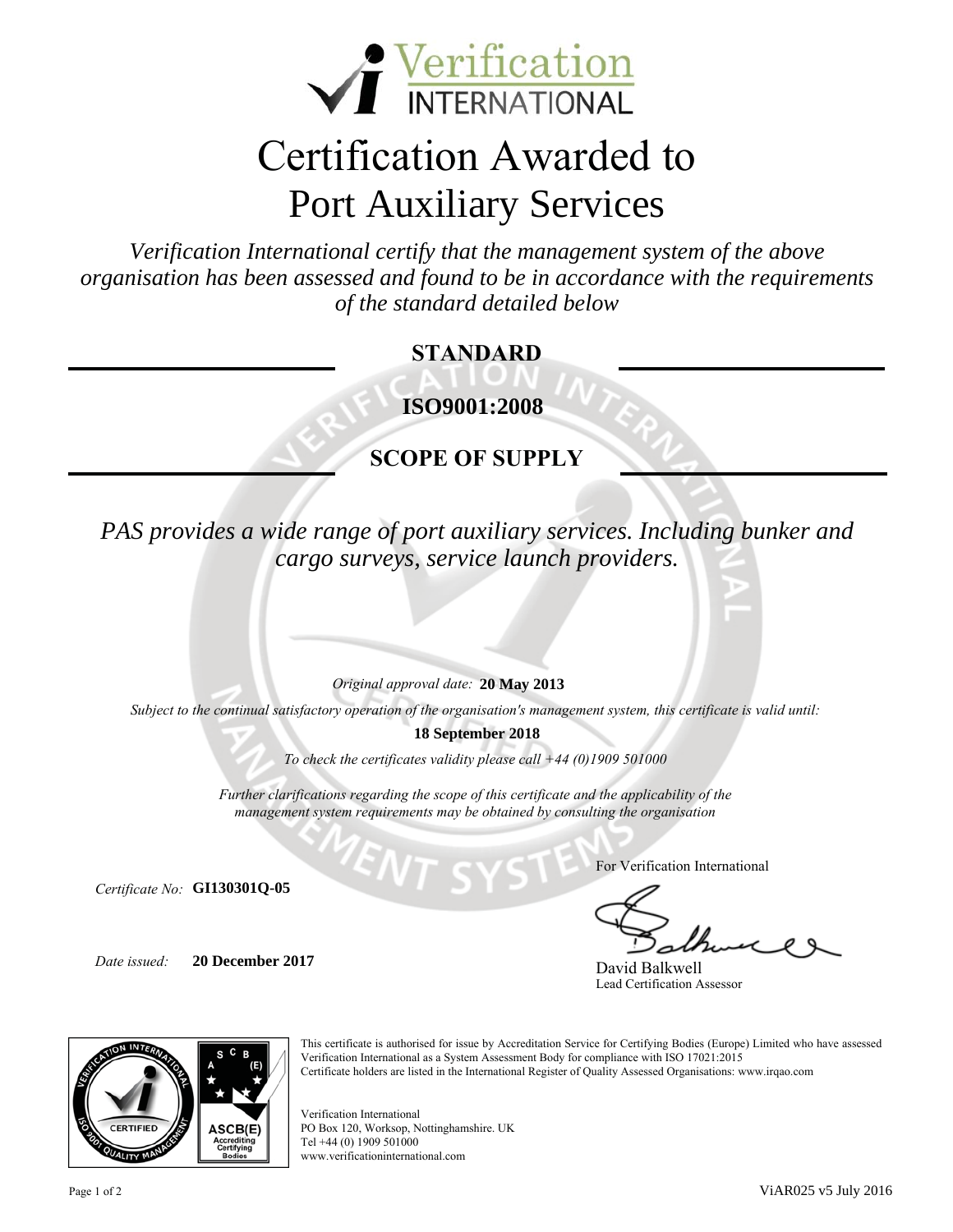

# Certification Awarded to Port Auxiliary Services

organisation has been assessed and found to be in accordance with the requirements<br>of the standard detailed below *Verification International certify that the management system of the above of the standard detailed below*

### **STANDARD**

**I ISO9001:2008**

## **SCOPE OF SUPPLY**

*PAS provides a wide range of port auxiliary services. Including bunker and cargo surveys, service launch providers.*

*Original approval date:*  **Ree 20 May 2013**

*Subject to the continual satisfactory operation of the organisation's management system, this certificate is valid until:*

**18 September 2018**

*To check the certificates validity please call +44 (0)1909 501000* 

*Further clarifications regarding the scope of this certificate and the applicability of the management system requirements may be obtained by consulting the organisation*

*Certificate No:*  **GI130301Q-05**

*Date issued:*  **Replace text with date 20 December 2017** For Verification International

David Balkwell Lead Certification Assessor



This certificate is authorised for issue by Accreditation Service for Certifying Bodies (Europe) Limited who have assessed Verification International as a System Assessment Body for compliance with ISO 17021:2015 Certificate holders are listed in the International Register of Quality Assessed Organisations: www.irqao.com

Verification International PO Box 120, Worksop, Nottinghamshire. UK Tel +44 (0) 1909 501000 www.verificationinternational.com